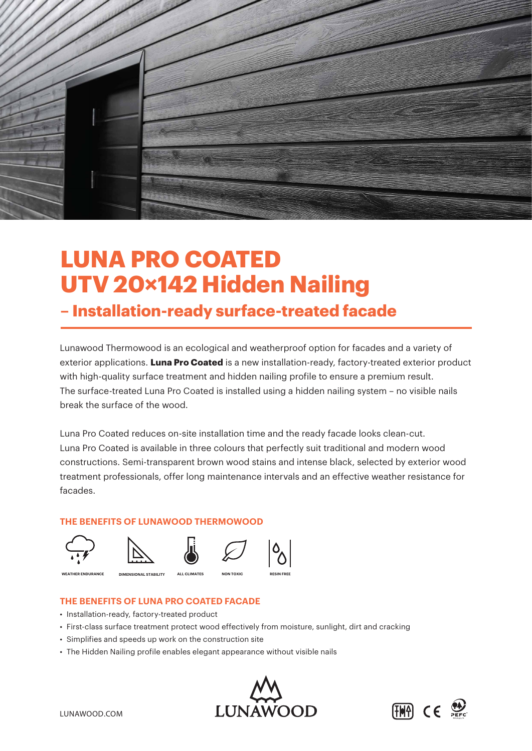

# **LUNA PRO COATED UTV 20×142 Hidden Nailing**

### **– Installation-ready surface-treated facade**

Lunawood Thermowood is an ecological and weatherproof option for facades and a variety of exterior applications. **Luna Pro Coated** is a new installation-ready, factory-treated exterior product with high-quality surface treatment and hidden nailing profile to ensure a premium result. The surface-treated Luna Pro Coated is installed using a hidden nailing system – no visible nails break the surface of the wood.

Luna Pro Coated reduces on-site installation time and the ready facade looks clean-cut. Luna Pro Coated is available in three colours that perfectly suit traditional and modern wood constructions. Semi-transparent brown wood stains and intense black, selected by exterior wood treatment professionals, offer long maintenance intervals and an effective weather resistance for facades.

#### **THE BENEFITS OF LUNAWOOD THERMOWOOD**

















**WEATHER ENDURANCE DIMENSIONAL STABILITY ALL CLIMATES NON TOXIC RESIN FREE**







#### **THE BENEFITS OF LUNA PRO COATED FACADE**

- Installation-ready, factory-treated product
- First-class surface treatment protect wood effectively from moisture, sunlight, dirt and cracking
- Simplifies and speeds up work on the construction site
- The Hidden Nailing profile enables elegant appearance without visible nails